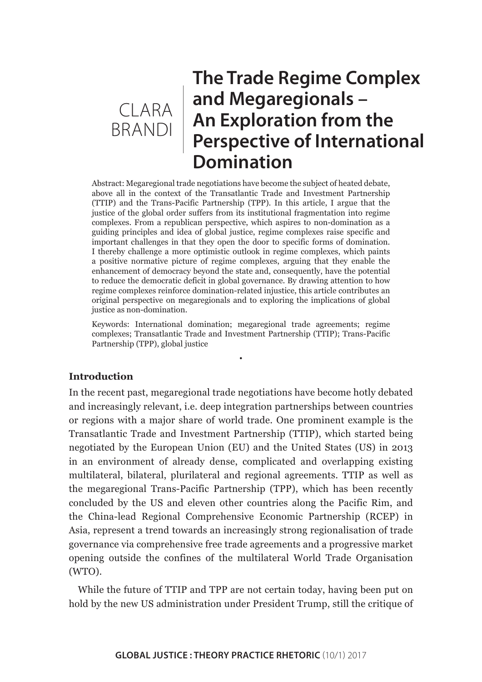

# **The Trade Regime Complex and Megaregionals – An Exploration from the Perspective of International Domination**

Abstract: Megaregional trade negotiations have become the subject of heated debate, above all in the context of the Transatlantic Trade and Investment Partnership (TTIP) and the Trans-Pacific Partnership (TPP). In this article, I argue that the justice of the global order suffers from its institutional fragmentation into regime complexes. From a republican perspective, which aspires to non-domination as a guiding principles and idea of global justice, regime complexes raise specific and important challenges in that they open the door to specific forms of domination. I thereby challenge a more optimistic outlook in regime complexes, which paints a positive normative picture of regime complexes, arguing that they enable the enhancement of democracy beyond the state and, consequently, have the potential to reduce the democratic deficit in global governance. By drawing attention to how regime complexes reinforce domination-related injustice, this article contributes an original perspective on megaregionals and to exploring the implications of global justice as non-domination.

Keywords: International domination; megaregional trade agreements; regime complexes; Transatlantic Trade and Investment Partnership (TTIP); Trans-Pacific Partnership (TPP), global justice

•

### **Introduction**

In the recent past, megaregional trade negotiations have become hotly debated and increasingly relevant, i.e. deep integration partnerships between countries or regions with a major share of world trade. One prominent example is the Transatlantic Trade and Investment Partnership (TTIP), which started being negotiated by the European Union (EU) and the United States (US) in 2013 in an environment of already dense, complicated and overlapping existing multilateral, bilateral, plurilateral and regional agreements. TTIP as well as the megaregional Trans-Pacific Partnership (TPP), which has been recently concluded by the US and eleven other countries along the Pacific Rim, and the China-lead Regional Comprehensive Economic Partnership (RCEP) in Asia, represent a trend towards an increasingly strong regionalisation of trade governance via comprehensive free trade agreements and a progressive market opening outside the confines of the multilateral World Trade Organisation (WTO).

While the future of TTIP and TPP are not certain today, having been put on hold by the new US administration under President Trump, still the critique of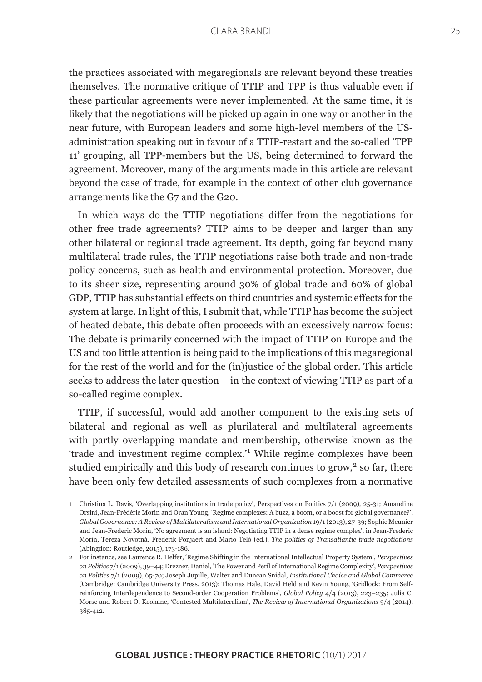the practices associated with megaregionals are relevant beyond these treaties themselves. The normative critique of TTIP and TPP is thus valuable even if these particular agreements were never implemented. At the same time, it is likely that the negotiations will be picked up again in one way or another in the near future, with European leaders and some high-level members of the USadministration speaking out in favour of a TTIP-restart and the so-called 'TPP 11' grouping, all TPP-members but the US, being determined to forward the agreement. Moreover, many of the arguments made in this article are relevant beyond the case of trade, for example in the context of other club governance arrangements like the G7 and the G20.

In which ways do the TTIP negotiations differ from the negotiations for other free trade agreements? TTIP aims to be deeper and larger than any other bilateral or regional trade agreement. Its depth, going far beyond many multilateral trade rules, the TTIP negotiations raise both trade and non-trade policy concerns, such as health and environmental protection. Moreover, due to its sheer size, representing around 30% of global trade and 60% of global GDP, TTIP has substantial effects on third countries and systemic effects for the system at large. In light of this, I submit that, while TTIP has become the subject of heated debate, this debate often proceeds with an excessively narrow focus: The debate is primarily concerned with the impact of TTIP on Europe and the US and too little attention is being paid to the implications of this megaregional for the rest of the world and for the (in)justice of the global order. This article seeks to address the later question – in the context of viewing TTIP as part of a so-called regime complex.

TTIP, if successful, would add another component to the existing sets of bilateral and regional as well as plurilateral and multilateral agreements with partly overlapping mandate and membership, otherwise known as the 'trade and investment regime complex.'<sup>1</sup> While regime complexes have been studied empirically and this body of research continues to grow,<sup>2</sup> so far, there have been only few detailed assessments of such complexes from a normative

<sup>1</sup> Christina L. Davis, 'Overlapping institutions in trade policy', Perspectives on Politics 7/1 (2009), 25-31; Amandine Orsini, Jean-Frédéric Morin and Oran Young, 'Regime complexes: A buzz, a boom, or a boost for global governance?', *Global Governance: A Review of Multilateralism and International Organization* 19/1 (2013), 27-39; Sophie Meunier and Jean-Frederic Morin, 'No agreement is an island: Negotiating TTIP in a dense regime complex', in Jean-Frederic Morin, Tereza Novotná, Frederik Ponjaert and Mario Telò (ed.), *The politics of Transatlantic trade negotiations* (Abingdon: Routledge, 2015), 173-186.

<sup>2</sup> For instance, see Laurence R. Helfer, 'Regime Shifting in the International Intellectual Property System', *Perspectives on Politics* 7/1 (2009), 39–44; Drezner, Daniel, 'The Power and Peril of International Regime Complexity', *Perspectives on Politics* 7/1 (2009), 65-70; Joseph Jupille, Walter and Duncan Snidal, *Institutional Choice and Global Commerce* (Cambridge: Cambridge University Press, 2013); Thomas Hale, David Held and Kevin Young, 'Gridlock: From Selfreinforcing Interdependence to Second-order Cooperation Problems', *Global Policy* 4/4 (2013), 223–235; Julia C. Morse and Robert O. Keohane, 'Contested Multilateralism', *The Review of International Organizations* 9/4 (2014), 385-412.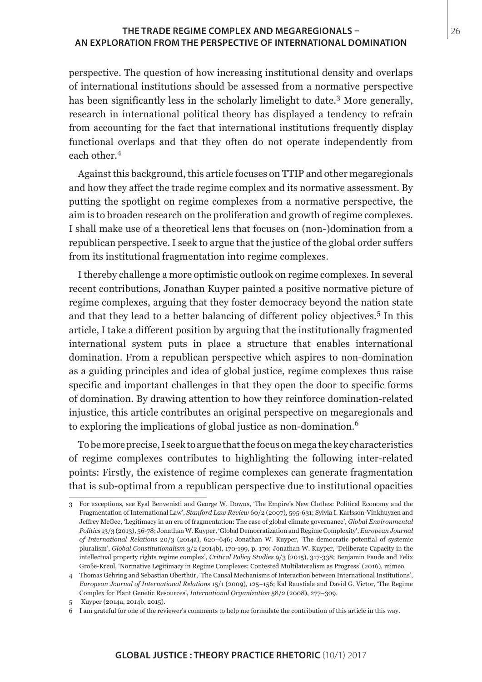## **THE TRADE REGIME COMPLEX AND MEGAREGIONALS –** 26 **AN EXPLORATION FROM THE PERSPECTIVE OF INTERNATIONAL DOMINATION**

perspective. The question of how increasing institutional density and overlaps of international institutions should be assessed from a normative perspective has been significantly less in the scholarly limelight to date.<sup>3</sup> More generally, research in international political theory has displayed a tendency to refrain from accounting for the fact that international institutions frequently display functional overlaps and that they often do not operate independently from each other.<sup>4</sup>

Against this background, this article focuses on TTIP and other megaregionals and how they affect the trade regime complex and its normative assessment. By putting the spotlight on regime complexes from a normative perspective, the aim is to broaden research on the proliferation and growth of regime complexes. I shall make use of a theoretical lens that focuses on (non-)domination from a republican perspective. I seek to argue that the justice of the global order suffers from its institutional fragmentation into regime complexes.

I thereby challenge a more optimistic outlook on regime complexes. In several recent contributions, Jonathan Kuyper painted a positive normative picture of regime complexes, arguing that they foster democracy beyond the nation state and that they lead to a better balancing of different policy objectives.<sup>5</sup> In this article, I take a different position by arguing that the institutionally fragmented international system puts in place a structure that enables international domination. From a republican perspective which aspires to non-domination as a guiding principles and idea of global justice, regime complexes thus raise specific and important challenges in that they open the door to specific forms of domination. By drawing attention to how they reinforce domination-related injustice, this article contributes an original perspective on megaregionals and to exploring the implications of global justice as non-domination.<sup>6</sup>

To be more precise, I seek to argue that the focus on mega the key characteristics of regime complexes contributes to highlighting the following inter-related points: Firstly, the existence of regime complexes can generate fragmentation that is sub-optimal from a republican perspective due to institutional opacities

<sup>3</sup> For exceptions, see Eyal Benvenisti and George W. Downs, 'The Empire's New Clothes: Political Economy and the Fragmentation of International Law', *Stanford Law Review* 60/2 (2007), 595-631; Sylvia I. Karlsson-Vinkhuyzen and Jeffrey McGee, 'Legitimacy in an era of fragmentation: The case of global climate governance', *Global Environmental Politics* 13/3 (2013), 56-78; Jonathan W. Kuyper, 'Global Democratization and Regime Complexity', *European Journal of International Relations* 20/3 (2014a), 620–646; Jonathan W. Kuyper, 'The democratic potential of systemic pluralism', *Global Constitutionalism* 3/2 (2014b), 170-199, p. 170; Jonathan W. Kuyper, 'Deliberate Capacity in the intellectual property rights regime complex', *Critical Policy Studies* 9/3 (2015), 317-338; Benjamin Faude and Felix Große-Kreul, 'Normative Legitimacy in Regime Complexes: Contested Multilateralism as Progress' (2016), mimeo.

<sup>4</sup> Thomas Gehring and Sebastian Oberthür, 'The Causal Mechanisms of Interaction between International Institutions', *European Journal of International Relations* 15/1 (2009), 125–156; Kal Raustiala and David G. Victor, 'The Regime Complex for Plant Genetic Resources', *International Organization* 58/2 (2008), 277–309.

<sup>5</sup> Kuyper (2014a, 2014b, 2015).

<sup>6</sup> I am grateful for one of the reviewer's comments to help me formulate the contribution of this article in this way.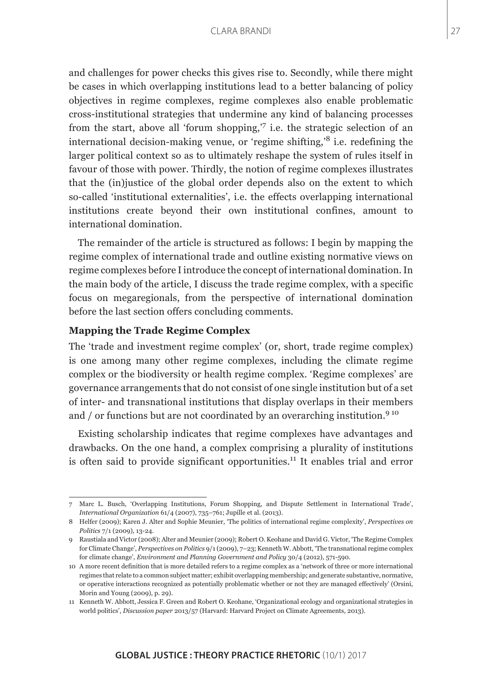and challenges for power checks this gives rise to. Secondly, while there might be cases in which overlapping institutions lead to a better balancing of policy objectives in regime complexes, regime complexes also enable problematic cross-institutional strategies that undermine any kind of balancing processes from the start, above all 'forum shopping,'7 i.e. the strategic selection of an international decision-making venue, or 'regime shifting, $\delta$  i.e. redefining the larger political context so as to ultimately reshape the system of rules itself in favour of those with power. Thirdly, the notion of regime complexes illustrates that the (in)justice of the global order depends also on the extent to which so-called 'institutional externalities', i.e. the effects overlapping international institutions create beyond their own institutional confines, amount to international domination.

The remainder of the article is structured as follows: I begin by mapping the regime complex of international trade and outline existing normative views on regime complexes before I introduce the concept of international domination. In the main body of the article, I discuss the trade regime complex, with a specific focus on megaregionals, from the perspective of international domination before the last section offers concluding comments.

### **Mapping the Trade Regime Complex**

The 'trade and investment regime complex' (or, short, trade regime complex) is one among many other regime complexes, including the climate regime complex or the biodiversity or health regime complex. 'Regime complexes' are governance arrangements that do not consist of one single institution but of a set of inter- and transnational institutions that display overlaps in their members and  $/$  or functions but are not coordinated by an overarching institution.<sup>9 10</sup>

Existing scholarship indicates that regime complexes have advantages and drawbacks. On the one hand, a complex comprising a plurality of institutions is often said to provide significant opportunities.<sup>11</sup> It enables trial and error

<sup>7</sup> Marc L. Busch, 'Overlapping Institutions, Forum Shopping, and Dispute Settlement in International Trade', *International Organization* 61/4 (2007), 735–761; Jupille et al. (2013).

<sup>8</sup> Helfer (2009); Karen J. Alter and Sophie Meunier, 'The politics of international regime complexity', *Perspectives on Politics* 7/1 (2009), 13-24.

<sup>9</sup> Raustiala and Victor (2008); Alter and Meunier (2009); Robert O. Keohane and David G. Victor, 'The Regime Complex for Climate Change', *Perspectives on Politics* 9/1 (2009), 7–23; Kenneth W. Abbott, 'The transnational regime complex for climate change', *Environment and Planning Government and Policy* 30/4 (2012), 571-590.

<sup>10</sup> A more recent definition that is more detailed refers to a regime complex as a 'network of three or more international regimes that relate to a common subject matter; exhibit overlapping membership; and generate substantive, normative, or operative interactions recognized as potentially problematic whether or not they are managed effectively' (Orsini, Morin and Young (2009), p. 29).

<sup>11</sup> Kenneth W. Abbott, Jessica F. Green and Robert O. Keohane, 'Organizational ecology and organizational strategies in world politics', *Discussion paper* 2013/57 (Harvard: Harvard Project on Climate Agreements, 2013).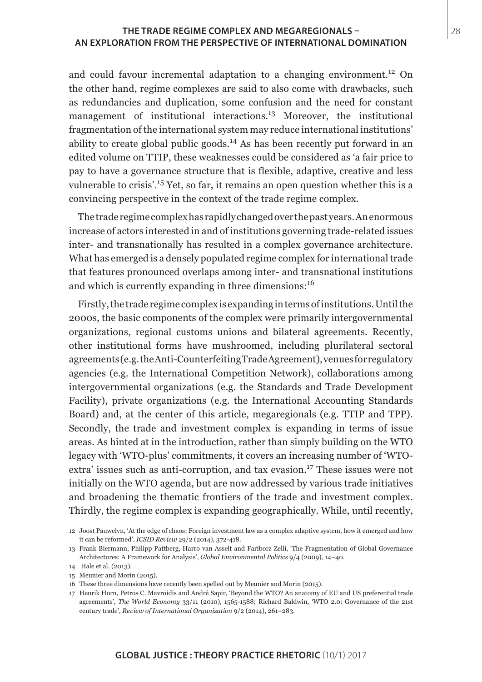# **THE TRADE REGIME COMPLEX AND MEGAREGIONALS –** 28 **AN EXPLORATION FROM THE PERSPECTIVE OF INTERNATIONAL DOMINATION**

and could favour incremental adaptation to a changing environment.<sup>12</sup> On the other hand, regime complexes are said to also come with drawbacks, such as redundancies and duplication, some confusion and the need for constant management of institutional interactions.<sup>13</sup> Moreover, the institutional fragmentation of the international system may reduce international institutions' ability to create global public goods.<sup>14</sup> As has been recently put forward in an edited volume on TTIP, these weaknesses could be considered as 'a fair price to pay to have a governance structure that is flexible, adaptive, creative and less vulnerable to crisis'.15 Yet, so far, it remains an open question whether this is a convincing perspective in the context of the trade regime complex.

The trade regime complex has rapidly changed over the past years. An enormous increase of actors interested in and of institutions governing trade-related issues inter- and transnationally has resulted in a complex governance architecture. What has emerged is a densely populated regime complex for international trade that features pronounced overlaps among inter- and transnational institutions and which is currently expanding in three dimensions:<sup>16</sup>

Firstly, the trade regime complex is expanding in terms of institutions. Until the 2000s, the basic components of the complex were primarily intergovernmental organizations, regional customs unions and bilateral agreements. Recently, other institutional forms have mushroomed, including plurilateral sectoral agreements (e.g. the Anti-Counterfeiting Trade Agreement), venues for regulatory agencies (e.g. the International Competition Network), collaborations among intergovernmental organizations (e.g. the Standards and Trade Development Facility), private organizations (e.g. the International Accounting Standards Board) and, at the center of this article, megaregionals (e.g. TTIP and TPP). Secondly, the trade and investment complex is expanding in terms of issue areas. As hinted at in the introduction, rather than simply building on the WTO legacy with 'WTO-plus' commitments, it covers an increasing number of 'WTOextra' issues such as anti-corruption, and tax evasion.<sup>17</sup> These issues were not initially on the WTO agenda, but are now addressed by various trade initiatives and broadening the thematic frontiers of the trade and investment complex. Thirdly, the regime complex is expanding geographically. While, until recently,

<sup>12</sup> Joost Pauwelyn, 'At the edge of chaos: Foreign investment law as a complex adaptive system, how it emerged and how it can be reformed', *ICSID Review* 29/2 (2014), 372-418.

<sup>13</sup> Frank Biermann, Philipp Pattberg, Harro van Asselt and Fariborz Zelli, 'The Fragmentation of Global Governance Architectures: A Framework for Analysis', *Global Environmental Politics* 9/4 (2009), 14–40.

<sup>14</sup> Hale et al. (2013).

<sup>15</sup> Meunier and Morin (2015).

<sup>16</sup> These three dimensions have recently been spelled out by Meunier and Morin (2015).

<sup>17</sup> Henrik Horn, Petros C. Mavroidis and André Sapir, 'Beyond the WTO? An anatomy of EU and US preferential trade agreements', *The World Economy* 33/11 (2010), 1565-1588; Richard Baldwin, 'WTO 2.0: Governance of the 21st century trade', *Review of International Organization* 9/2 (2014), 261–283.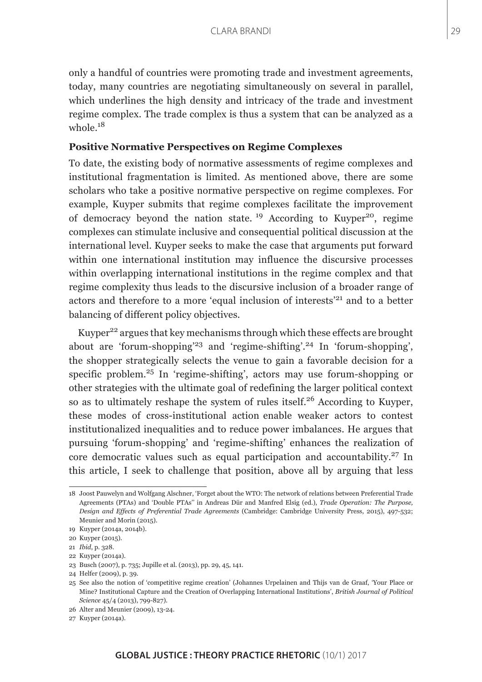only a handful of countries were promoting trade and investment agreements, today, many countries are negotiating simultaneously on several in parallel, which underlines the high density and intricacy of the trade and investment regime complex. The trade complex is thus a system that can be analyzed as a whole.<sup>18</sup>

## **Positive Normative Perspectives on Regime Complexes**

To date, the existing body of normative assessments of regime complexes and institutional fragmentation is limited. As mentioned above, there are some scholars who take a positive normative perspective on regime complexes. For example, Kuyper submits that regime complexes facilitate the improvement of democracy beyond the nation state. <sup>19</sup> According to Kuyper<sup>20</sup>, regime complexes can stimulate inclusive and consequential political discussion at the international level. Kuyper seeks to make the case that arguments put forward within one international institution may influence the discursive processes within overlapping international institutions in the regime complex and that regime complexity thus leads to the discursive inclusion of a broader range of actors and therefore to a more 'equal inclusion of interests'<sup>21</sup> and to a better balancing of different policy objectives.

Kuyper<sup>22</sup> argues that key mechanisms through which these effects are brought about are 'forum-shopping'<sup>23</sup> and 'regime-shifting'.<sup>24</sup> In 'forum-shopping', the shopper strategically selects the venue to gain a favorable decision for a specific problem.<sup>25</sup> In 'regime-shifting', actors may use forum-shopping or other strategies with the ultimate goal of redefining the larger political context so as to ultimately reshape the system of rules itself.26 According to Kuyper, these modes of cross-institutional action enable weaker actors to contest institutionalized inequalities and to reduce power imbalances. He argues that pursuing 'forum-shopping' and 'regime-shifting' enhances the realization of core democratic values such as equal participation and accountability.<sup>27</sup> In this article, I seek to challenge that position, above all by arguing that less

<sup>18</sup> Joost Pauwelyn and Wolfgang Alschner, 'Forget about the WTO: The network of relations between Preferential Trade Agreements (PTAs) and 'Double PTAs'' in Andreas Dür and Manfred Elsig (ed.), *Trade Operation: The Purpose, Design and Effects of Preferential Trade Agreements* (Cambridge: Cambridge University Press, 2015), 497-532; Meunier and Morin (2015).

<sup>19</sup> Kuyper (2014a, 2014b).

<sup>20</sup> Kuyper (2015).

<sup>21</sup> *Ibid*, p. 328.

<sup>22</sup> Kuyper (2014a).

<sup>23</sup> Busch (2007), p. 735; Jupille et al. (2013), pp. 29, 45, 141.

<sup>24</sup> Helfer (2009), p. 39.

<sup>25</sup> See also the notion of 'competitive regime creation' (Johannes Urpelainen and Thijs van de Graaf, 'Your Place or Mine? Institutional Capture and the Creation of Overlapping International Institutions', *British Journal of Political Science* 45/4 (2013), 799-827).

<sup>26</sup> Alter and Meunier (2009), 13-24.

<sup>27</sup> Kuyper (2014a).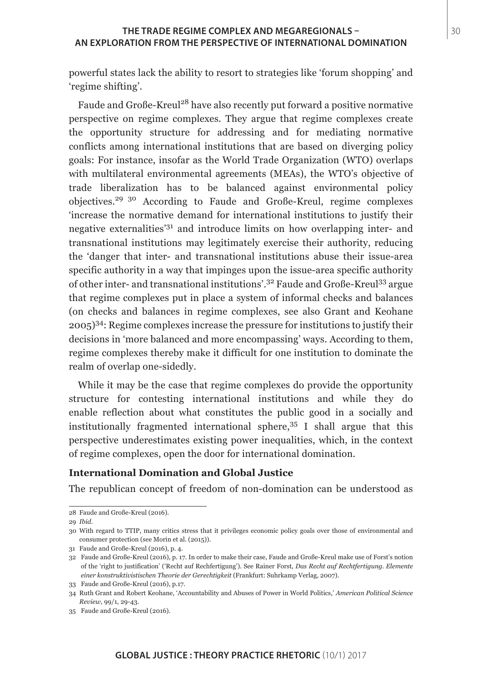### **THE TRADE REGIME COMPLEX AND MEGAREGIONALS –**  $\vert$  **30 AN EXPLORATION FROM THE PERSPECTIVE OF INTERNATIONAL DOMINATION**

powerful states lack the ability to resort to strategies like 'forum shopping' and 'regime shifting'.

Faude and Große-Kreul<sup>28</sup> have also recently put forward a positive normative perspective on regime complexes. They argue that regime complexes create the opportunity structure for addressing and for mediating normative conflicts among international institutions that are based on diverging policy goals: For instance, insofar as the World Trade Organization (WTO) overlaps with multilateral environmental agreements (MEAs), the WTO's objective of trade liberalization has to be balanced against environmental policy objectives.<sup>29</sup> 30 According to Faude and Große-Kreul, regime complexes 'increase the normative demand for international institutions to justify their negative externalities'31 and introduce limits on how overlapping inter- and transnational institutions may legitimately exercise their authority, reducing the 'danger that inter- and transnational institutions abuse their issue-area specific authority in a way that impinges upon the issue-area specific authority of other inter- and transnational institutions'.32 Faude and Große-Kreul33 argue that regime complexes put in place a system of informal checks and balances (on checks and balances in regime complexes, see also Grant and Keohane  $2005$ <sup>34</sup>: Regime complexes increase the pressure for institutions to justify their decisions in 'more balanced and more encompassing' ways. According to them, regime complexes thereby make it difficult for one institution to dominate the realm of overlap one-sidedly.

While it may be the case that regime complexes do provide the opportunity structure for contesting international institutions and while they do enable reflection about what constitutes the public good in a socially and institutionally fragmented international sphere,  $35$  I shall argue that this perspective underestimates existing power inequalities, which, in the context of regime complexes, open the door for international domination.

### **International Domination and Global Justice**

The republican concept of freedom of non-domination can be understood as

<sup>28</sup> Faude and Große-Kreul (2016).

<sup>29</sup> *Ibid*.

<sup>30</sup> With regard to TTIP, many critics stress that it privileges economic policy goals over those of environmental and consumer protection (see Morin et al. (2015)).

<sup>31</sup> Faude and Große-Kreul (2016), p. 4.

<sup>32</sup> Faude and Große-Kreul (2016), p. 17. In order to make their case, Faude and Große-Kreul make use of Forst's notion of the 'right to justification' ('Recht auf Rechfertigung'). See Rainer Forst, *Das Recht auf Rechtfertigung. Elemente einer konstruktivistischen Theorie der Gerechtigkeit* (Frankfurt: Suhrkamp Verlag, 2007).

<sup>33</sup> Faude and Große-Kreul (2016), p.17.

<sup>34</sup> Ruth Grant and Robert Keohane, 'Accountability and Abuses of Power in World Politics,' *American Political Science Review*, 99/1, 29-43.

<sup>35</sup> Faude and Große-Kreul (2016).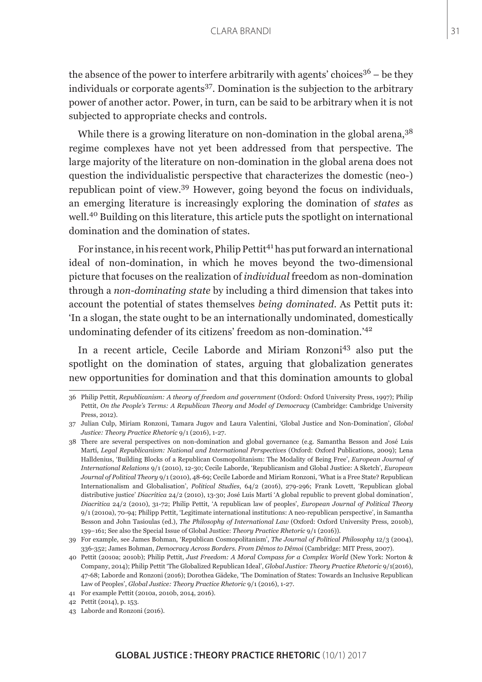the absence of the power to interfere arbitrarily with agents' choices<sup>36</sup> – be they individuals or corporate agents<sup>37</sup>. Domination is the subjection to the arbitrary power of another actor. Power, in turn, can be said to be arbitrary when it is not subjected to appropriate checks and controls.

While there is a growing literature on non-domination in the global arena,<sup>38</sup> regime complexes have not yet been addressed from that perspective. The large majority of the literature on non-domination in the global arena does not question the individualistic perspective that characterizes the domestic (neo-) republican point of view.39 However, going beyond the focus on individuals, an emerging literature is increasingly exploring the domination of *states* as well.40 Building on this literature, this article puts the spotlight on international domination and the domination of states.

For instance, in his recent work, Philip Pettit<sup>41</sup> has put forward an international ideal of non-domination, in which he moves beyond the two-dimensional picture that focuses on the realization of *individual* freedom as non-domination through a *non-dominating state* by including a third dimension that takes into account the potential of states themselves *being dominated*. As Pettit puts it: 'In a slogan, the state ought to be an internationally undominated, domestically undominating defender of its citizens' freedom as non-domination.'<sup>42</sup>

In a recent article, Cecile Laborde and Miriam Ronzoni43 also put the spotlight on the domination of states, arguing that globalization generates new opportunities for domination and that this domination amounts to global

<sup>36</sup> Philip Pettit, *Republicanism: A theory of freedom and government* (Oxford: Oxford University Press, 1997); Philip Pettit, *On the People's Terms: A Republican Theory and Model of Democracy* (Cambridge: Cambridge University Press, 2012).

<sup>37</sup> Julian Culp, Miriam Ronzoni, Tamara Jugov and Laura Valentini, 'Global Justice and Non-Domination', *Global Justice: Theory Practice Rhetoric* 9/1 (2016), 1-27.

<sup>38</sup> There are several perspectives on non-domination and global governance (e.g. Samantha Besson and José Luis Martí, *Legal Republicanism: National and International Perspectives* (Oxford: Oxford Publications, 2009); Lena Halldenius, 'Building Blocks of a Republican Cosmopolitanism: The Modality of Being Free', *European Journal of International Relations* 9/1 (2010), 12-30; Cecile Laborde, 'Republicanism and Global Justice: A Sketch', *European Journal of Political Theory* 9/1 (2010), 48-69; Cecile Laborde and Miriam Ronzoni, 'What is a Free State? Republican Internationalism and Globalisation', *Political Studies*, 64/2 (2016), 279-296; Frank Lovett, 'Republican global distributive justice' *Diacrítica* 24/2 (2010), 13-30; José Luis Martí 'A global republic to prevent global domination', *Diacritica* 24/2 (2010), 31-72; Philip Pettit, 'A republican law of peoples', *European Journal of Political Theory* 9/1 (2010a), 70-94; Philipp Pettit, 'Legitimate international institutions: A neo-republican perspective', in Samantha Besson and John Tasioulas (ed.), *The Philosophy of International Law* (Oxford: Oxford University Press, 2010b), 139–161; See also the Special Issue of Global Justice: *Theory Practice Rhetoric* 9/1 (2016)).

<sup>39</sup> For example, see James Bohman, 'Republican Cosmopolitanism', *The Journal of Political Philosophy* 12/3 (2004), 336-352; James Bohman, *Democracy Across Borders. From Dêmos to Dêmoi* (Cambridge: MIT Press, 2007).

<sup>40</sup> Pettit (2010a; 2010b); Philip Pettit, *Just Freedom: A Moral Compass for a Complex World* (New York: Norton & Company, 2014); Philip Pettit 'The Globalized Republican Ideal', *Global Justice: Theory Practice Rhetoric* 9/1(2016), 47-68; Laborde and Ronzoni (2016); Dorothea Gädeke, 'The Domination of States: Towards an Inclusive Republican Law of Peoples', *Global Justice: Theory Practice Rhetoric* 9/1 (2016), 1-27.

<sup>41</sup> For example Pettit (2010a, 2010b, 2014, 2016).

<sup>42</sup> Pettit (2014), p. 153.

<sup>43</sup> Laborde and Ronzoni (2016).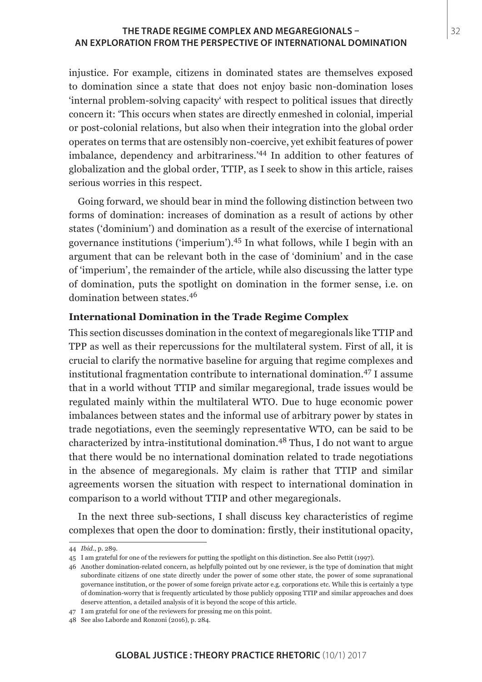# **THE TRADE REGIME COMPLEX AND MEGAREGIONALS –** 32 **AN EXPLORATION FROM THE PERSPECTIVE OF INTERNATIONAL DOMINATION**

injustice. For example, citizens in dominated states are themselves exposed to domination since a state that does not enjoy basic non-domination loses 'internal problem-solving capacity' with respect to political issues that directly concern it: 'This occurs when states are directly enmeshed in colonial, imperial or post-colonial relations, but also when their integration into the global order operates on terms that are ostensibly non-coercive, yet exhibit features of power imbalance, dependency and arbitrariness.'44 In addition to other features of globalization and the global order, TTIP, as I seek to show in this article, raises serious worries in this respect.

Going forward, we should bear in mind the following distinction between two forms of domination: increases of domination as a result of actions by other states ('dominium') and domination as a result of the exercise of international governance institutions ('imperium').45 In what follows, while I begin with an argument that can be relevant both in the case of 'dominium' and in the case of 'imperium', the remainder of the article, while also discussing the latter type of domination, puts the spotlight on domination in the former sense, i.e. on domination between states.<sup>46</sup>

### **International Domination in the Trade Regime Complex**

This section discusses domination in the context of megaregionals like TTIP and TPP as well as their repercussions for the multilateral system. First of all, it is crucial to clarify the normative baseline for arguing that regime complexes and institutional fragmentation contribute to international domination.47 I assume that in a world without TTIP and similar megaregional, trade issues would be regulated mainly within the multilateral WTO. Due to huge economic power imbalances between states and the informal use of arbitrary power by states in trade negotiations, even the seemingly representative WTO, can be said to be characterized by intra-institutional domination.48 Thus, I do not want to argue that there would be no international domination related to trade negotiations in the absence of megaregionals. My claim is rather that TTIP and similar agreements worsen the situation with respect to international domination in comparison to a world without TTIP and other megaregionals.

In the next three sub-sections, I shall discuss key characteristics of regime complexes that open the door to domination: firstly, their institutional opacity,

<sup>44</sup> *Ibid*., p. 289.

<sup>45</sup> I am grateful for one of the reviewers for putting the spotlight on this distinction. See also Pettit (1997).

<sup>46</sup> Another domination-related concern, as helpfully pointed out by one reviewer, is the type of domination that might subordinate citizens of one state directly under the power of some other state, the power of some supranational governance institution, or the power of some foreign private actor e.g. corporations etc. While this is certainly a type of domination-worry that is frequently articulated by those publicly opposing TTIP and similar approaches and does deserve attention, a detailed analysis of it is beyond the scope of this article.

<sup>47</sup> I am grateful for one of the reviewers for pressing me on this point.

<sup>48</sup> See also Laborde and Ronzoni (2016), p. 284.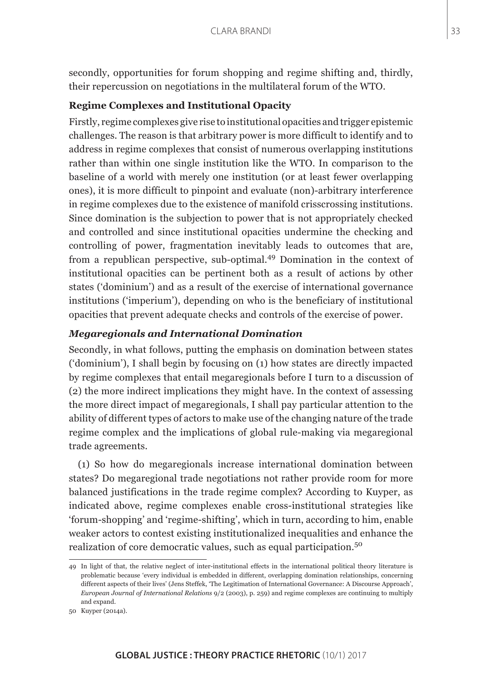secondly, opportunities for forum shopping and regime shifting and, thirdly, their repercussion on negotiations in the multilateral forum of the WTO.

# **Regime Complexes and Institutional Opacity**

Firstly, regime complexes give rise to institutional opacities and trigger epistemic challenges. The reason is that arbitrary power is more difficult to identify and to address in regime complexes that consist of numerous overlapping institutions rather than within one single institution like the WTO. In comparison to the baseline of a world with merely one institution (or at least fewer overlapping ones), it is more difficult to pinpoint and evaluate (non)-arbitrary interference in regime complexes due to the existence of manifold crisscrossing institutions. Since domination is the subjection to power that is not appropriately checked and controlled and since institutional opacities undermine the checking and controlling of power, fragmentation inevitably leads to outcomes that are, from a republican perspective, sub-optimal.49 Domination in the context of institutional opacities can be pertinent both as a result of actions by other states ('dominium') and as a result of the exercise of international governance institutions ('imperium'), depending on who is the beneficiary of institutional opacities that prevent adequate checks and controls of the exercise of power.

# *Megaregionals and International Domination*

Secondly, in what follows, putting the emphasis on domination between states ('dominium'), I shall begin by focusing on (1) how states are directly impacted by regime complexes that entail megaregionals before I turn to a discussion of (2) the more indirect implications they might have. In the context of assessing the more direct impact of megaregionals, I shall pay particular attention to the ability of different types of actors to make use of the changing nature of the trade regime complex and the implications of global rule-making via megaregional trade agreements.

(1) So how do megaregionals increase international domination between states? Do megaregional trade negotiations not rather provide room for more balanced justifications in the trade regime complex? According to Kuyper, as indicated above, regime complexes enable cross-institutional strategies like 'forum-shopping' and 'regime-shifting', which in turn, according to him, enable weaker actors to contest existing institutionalized inequalities and enhance the realization of core democratic values, such as equal participation.<sup>50</sup>

<sup>49</sup> In light of that, the relative neglect of inter-institutional effects in the international political theory literature is problematic because 'every individual is embedded in different, overlapping domination relationships, concerning different aspects of their lives' (Jens Steffek, 'The Legitimation of International Governance: A Discourse Approach', *European Journal of International Relations* 9/2 (2003), p. 259) and regime complexes are continuing to multiply and expand.

<sup>50</sup> Kuyper (2014a).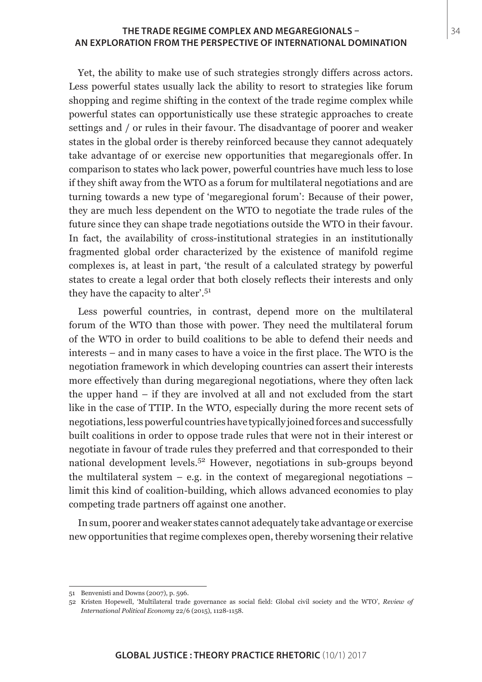### **THE TRADE REGIME COMPLEX AND MEGAREGIONALS –** 34 **AN EXPLORATION FROM THE PERSPECTIVE OF INTERNATIONAL DOMINATION**

Yet, the ability to make use of such strategies strongly differs across actors. Less powerful states usually lack the ability to resort to strategies like forum shopping and regime shifting in the context of the trade regime complex while powerful states can opportunistically use these strategic approaches to create settings and / or rules in their favour. The disadvantage of poorer and weaker states in the global order is thereby reinforced because they cannot adequately take advantage of or exercise new opportunities that megaregionals offer. In comparison to states who lack power, powerful countries have much less to lose if they shift away from the WTO as a forum for multilateral negotiations and are turning towards a new type of 'megaregional forum': Because of their power, they are much less dependent on the WTO to negotiate the trade rules of the future since they can shape trade negotiations outside the WTO in their favour. In fact, the availability of cross-institutional strategies in an institutionally fragmented global order characterized by the existence of manifold regime complexes is, at least in part, 'the result of a calculated strategy by powerful states to create a legal order that both closely reflects their interests and only they have the capacity to alter'.<sup>51</sup>

Less powerful countries, in contrast, depend more on the multilateral forum of the WTO than those with power. They need the multilateral forum of the WTO in order to build coalitions to be able to defend their needs and interests – and in many cases to have a voice in the first place. The WTO is the negotiation framework in which developing countries can assert their interests more effectively than during megaregional negotiations, where they often lack the upper hand – if they are involved at all and not excluded from the start like in the case of TTIP. In the WTO, especially during the more recent sets of negotiations, less powerful countries have typically joined forces and successfully built coalitions in order to oppose trade rules that were not in their interest or negotiate in favour of trade rules they preferred and that corresponded to their national development levels.52 However, negotiations in sub-groups beyond the multilateral system  $-$  e.g. in the context of megaregional negotiations  $$ limit this kind of coalition-building, which allows advanced economies to play competing trade partners off against one another.

In sum, poorer and weaker states cannot adequately take advantage or exercise new opportunities that regime complexes open, thereby worsening their relative

<sup>51</sup> Benvenisti and Downs (2007), p. 596.

<sup>52</sup> Kristen Hopewell, 'Multilateral trade governance as social field: Global civil society and the WTO', *Review of International Political Economy* 22/6 (2015), 1128-1158.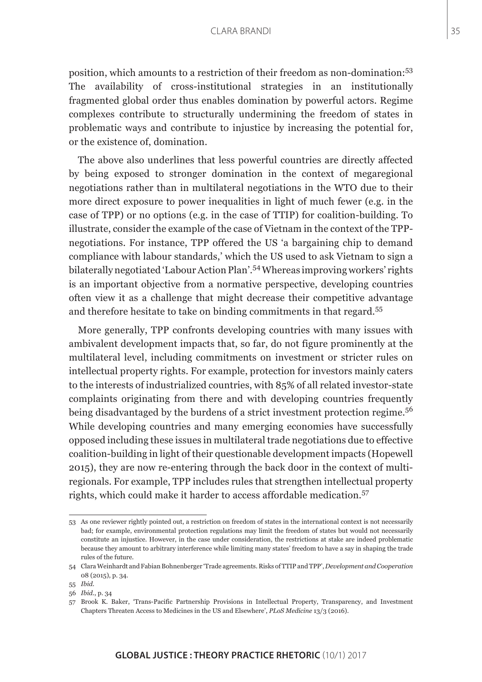position, which amounts to a restriction of their freedom as non-domination:<sup>53</sup> The availability of cross-institutional strategies in an institutionally fragmented global order thus enables domination by powerful actors. Regime complexes contribute to structurally undermining the freedom of states in problematic ways and contribute to injustice by increasing the potential for, or the existence of, domination.

The above also underlines that less powerful countries are directly affected by being exposed to stronger domination in the context of megaregional negotiations rather than in multilateral negotiations in the WTO due to their more direct exposure to power inequalities in light of much fewer (e.g. in the case of TPP) or no options (e.g. in the case of TTIP) for coalition-building. To illustrate, consider the example of the case of Vietnam in the context of the TPPnegotiations. For instance, TPP offered the US 'a bargaining chip to demand compliance with labour standards,' which the US used to ask Vietnam to sign a bilaterally negotiated 'Labour Action Plan'.54 Whereas improving workers' rights is an important objective from a normative perspective, developing countries often view it as a challenge that might decrease their competitive advantage and therefore hesitate to take on binding commitments in that regard.<sup>55</sup>

More generally, TPP confronts developing countries with many issues with ambivalent development impacts that, so far, do not figure prominently at the multilateral level, including commitments on investment or stricter rules on intellectual property rights. For example, protection for investors mainly caters to the interests of industrialized countries, with 85% of all related investor-state complaints originating from there and with developing countries frequently being disadvantaged by the burdens of a strict investment protection regime.<sup>56</sup> While developing countries and many emerging economies have successfully opposed including these issues in multilateral trade negotiations due to effective coalition-building in light of their questionable development impacts (Hopewell 2015), they are now re-entering through the back door in the context of multiregionals. For example, TPP includes rules that strengthen intellectual property rights, which could make it harder to access affordable medication.<sup>57</sup>

<sup>53</sup> As one reviewer rightly pointed out, a restriction on freedom of states in the international context is not necessarily bad; for example, environmental protection regulations may limit the freedom of states but would not necessarily constitute an injustice. However, in the case under consideration, the restrictions at stake are indeed problematic because they amount to arbitrary interference while limiting many states' freedom to have a say in shaping the trade rules of the future.

<sup>54</sup> Clara Weinhardt and Fabian Bohnenberger 'Trade agreements. Risks of TTIP and TPP', *Development and Cooperation* 08 (2015), p. 34.

<sup>55</sup> *Ibid*.

<sup>56</sup> *Ibid*., p. 34

<sup>57</sup> Brook K. Baker, 'Trans-Pacific Partnership Provisions in Intellectual Property, Transparency, and Investment Chapters Threaten Access to Medicines in the US and Elsewhere', *PLoS Medicine* 13/3 (2016).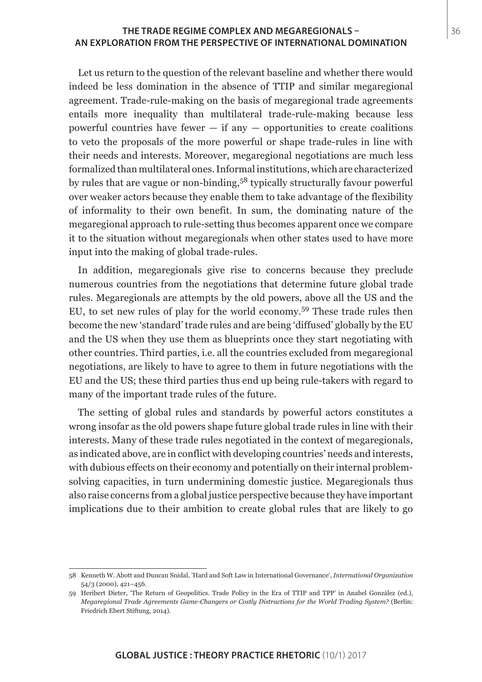### **THE TRADE REGIME COMPLEX AND MEGAREGIONALS –** 36 **AN EXPLORATION FROM THE PERSPECTIVE OF INTERNATIONAL DOMINATION**

Let us return to the question of the relevant baseline and whether there would indeed be less domination in the absence of TTIP and similar megaregional agreement. Trade-rule-making on the basis of megaregional trade agreements entails more inequality than multilateral trade-rule-making because less powerful countries have fewer  $-$  if any  $-$  opportunities to create coalitions to veto the proposals of the more powerful or shape trade-rules in line with their needs and interests. Moreover, megaregional negotiations are much less formalized than multilateral ones. Informal institutions, which are characterized by rules that are vague or non-binding,58 typically structurally favour powerful over weaker actors because they enable them to take advantage of the flexibility of informality to their own benefit. In sum, the dominating nature of the megaregional approach to rule-setting thus becomes apparent once we compare it to the situation without megaregionals when other states used to have more input into the making of global trade-rules.

In addition, megaregionals give rise to concerns because they preclude numerous countries from the negotiations that determine future global trade rules. Megaregionals are attempts by the old powers, above all the US and the EU, to set new rules of play for the world economy.59 These trade rules then become the new 'standard' trade rules and are being 'diffused' globally by the EU and the US when they use them as blueprints once they start negotiating with other countries. Third parties, i.e. all the countries excluded from megaregional negotiations, are likely to have to agree to them in future negotiations with the EU and the US; these third parties thus end up being rule-takers with regard to many of the important trade rules of the future.

The setting of global rules and standards by powerful actors constitutes a wrong insofar as the old powers shape future global trade rules in line with their interests. Many of these trade rules negotiated in the context of megaregionals, as indicated above, are in conflict with developing countries' needs and interests, with dubious effects on their economy and potentially on their internal problemsolving capacities, in turn undermining domestic justice. Megaregionals thus also raise concerns from a global justice perspective because they have important implications due to their ambition to create global rules that are likely to go

<sup>58</sup> Kenneth W. Abott and Duncan Snidal, 'Hard and Soft Law in International Governance', *International Organization* 54/3 (2000), 421–456.

<sup>59</sup> Heribert Dieter, 'The Return of Geopolitics. Trade Policy in the Era of TTIP and TPP' in Anabel González (ed.), *Megaregional Trade Agreements Game-Changers or Costly Distractions for the World Trading System?* (Berlin: Friedrich Ebert Stiftung, 2014).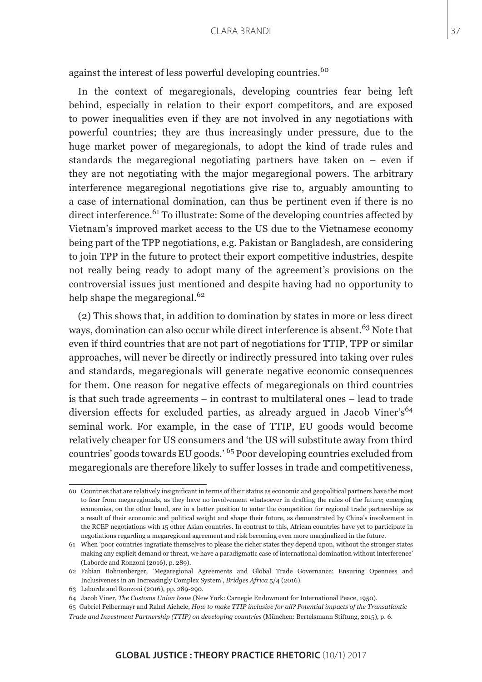against the interest of less powerful developing countries.<sup>60</sup>

In the context of megaregionals, developing countries fear being left behind, especially in relation to their export competitors, and are exposed to power inequalities even if they are not involved in any negotiations with powerful countries; they are thus increasingly under pressure, due to the huge market power of megaregionals, to adopt the kind of trade rules and standards the megaregional negotiating partners have taken on – even if they are not negotiating with the major megaregional powers. The arbitrary interference megaregional negotiations give rise to, arguably amounting to a case of international domination, can thus be pertinent even if there is no direct interference.<sup>61</sup> To illustrate: Some of the developing countries affected by Vietnam's improved market access to the US due to the Vietnamese economy being part of the TPP negotiations, e.g. Pakistan or Bangladesh, are considering to join TPP in the future to protect their export competitive industries, despite not really being ready to adopt many of the agreement's provisions on the controversial issues just mentioned and despite having had no opportunity to help shape the megaregional.<sup>62</sup>

(2) This shows that, in addition to domination by states in more or less direct ways, domination can also occur while direct interference is absent.<sup>63</sup> Note that even if third countries that are not part of negotiations for TTIP, TPP or similar approaches, will never be directly or indirectly pressured into taking over rules and standards, megaregionals will generate negative economic consequences for them. One reason for negative effects of megaregionals on third countries is that such trade agreements – in contrast to multilateral ones – lead to trade diversion effects for excluded parties, as already argued in Jacob Viner's<sup>64</sup> seminal work. For example, in the case of TTIP, EU goods would become relatively cheaper for US consumers and 'the US will substitute away from third countries' goods towards EU goods.' 65 Poor developing countries excluded from megaregionals are therefore likely to suffer losses in trade and competitiveness,

<sup>60</sup> Countries that are relatively insignificant in terms of their status as economic and geopolitical partners have the most to fear from megaregionals, as they have no involvement whatsoever in drafting the rules of the future; emerging economies, on the other hand, are in a better position to enter the competition for regional trade partnerships as a result of their economic and political weight and shape their future, as demonstrated by China's involvement in the RCEP negotiations with 15 other Asian countries. In contrast to this, African countries have yet to participate in negotiations regarding a megaregional agreement and risk becoming even more marginalized in the future.

<sup>61</sup> When 'poor countries ingratiate themselves to please the richer states they depend upon, without the stronger states making any explicit demand or threat, we have a paradigmatic case of international domination without interference' (Laborde and Ronzoni (2016), p. 289).

<sup>62</sup> Fabian Bohnenberger, 'Megaregional Agreements and Global Trade Governance: Ensuring Openness and Inclusiveness in an Increasingly Complex System', *Bridges Africa* 5/4 (2016).

<sup>63</sup> Laborde and Ronzoni (2016), pp. 289-290.

<sup>64</sup> Jacob Viner, *The Customs Union Issue* (New York: Carnegie Endowment for International Peace, 1950).

<sup>65</sup> Gabriel Felbermayr and Rahel Aichele, *How to make TTIP inclusive for all? Potential impacts of the Transatlantic Trade and Investment Partnership (TTIP) on developing countries* (München: Bertelsmann Stiftung, 2015), p. 6.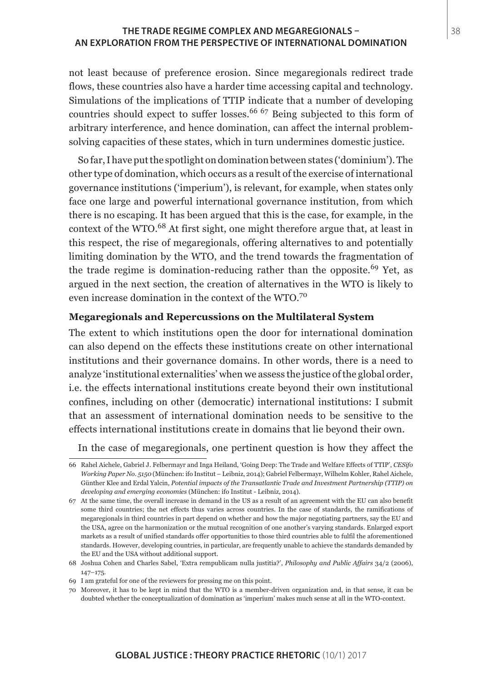### **THE TRADE REGIME COMPLEX AND MEGAREGIONALS –** 38 **AN EXPLORATION FROM THE PERSPECTIVE OF INTERNATIONAL DOMINATION**

not least because of preference erosion. Since megaregionals redirect trade flows, these countries also have a harder time accessing capital and technology. Simulations of the implications of TTIP indicate that a number of developing countries should expect to suffer losses.<sup>66</sup> 67 Being subjected to this form of arbitrary interference, and hence domination, can affect the internal problemsolving capacities of these states, which in turn undermines domestic justice.

So far, I have put the spotlight on domination between states ('dominium'). The other type of domination, which occurs as a result of the exercise of international governance institutions ('imperium'), is relevant, for example, when states only face one large and powerful international governance institution, from which there is no escaping. It has been argued that this is the case, for example, in the context of the WTO.<sup>68</sup> At first sight, one might therefore argue that, at least in this respect, the rise of megaregionals, offering alternatives to and potentially limiting domination by the WTO, and the trend towards the fragmentation of the trade regime is domination-reducing rather than the opposite.<sup>69</sup> Yet, as argued in the next section, the creation of alternatives in the WTO is likely to even increase domination in the context of the WTO.<sup>70</sup>

### **Megaregionals and Repercussions on the Multilateral System**

The extent to which institutions open the door for international domination can also depend on the effects these institutions create on other international institutions and their governance domains. In other words, there is a need to analyze 'institutional externalities' when we assess the justice of the global order, i.e. the effects international institutions create beyond their own institutional confines, including on other (democratic) international institutions: I submit that an assessment of international domination needs to be sensitive to the effects international institutions create in domains that lie beyond their own.

In the case of megaregionals, one pertinent question is how they affect the

<sup>66</sup> Rahel Aichele, Gabriel J. Felbermayr and Inga Heiland, 'Going Deep: The Trade and Welfare Effects of TTIP', *CESifo Working Paper No. 5150* (München: ifo Institut – Leibniz, 2014); Gabriel Felbermayr, Wilhelm Kohler, Rahel Aichele, Günther Klee and Erdal Yalcin, *Potential impacts of the Transatlantic Trade and Investment Partnership (TTIP) on developing and emerging economies* (München: ifo Institut - Leibniz, 2014).

<sup>67</sup> At the same time, the overall increase in demand in the US as a result of an agreement with the EU can also benefit some third countries; the net effects thus varies across countries. In the case of standards, the ramifications of megaregionals in third countries in part depend on whether and how the major negotiating partners, say the EU and the USA, agree on the harmonization or the mutual recognition of one another's varying standards. Enlarged export markets as a result of unified standards offer opportunities to those third countries able to fulfil the aforementioned standards. However, developing countries, in particular, are frequently unable to achieve the standards demanded by the EU and the USA without additional support.

<sup>68</sup> Joshua Cohen and Charles Sabel, 'Extra rempublicam nulla justitia?', *Philosophy and Public Affairs* 34/2 (2006), 147–175.

<sup>69</sup> I am grateful for one of the reviewers for pressing me on this point.

<sup>70</sup> Moreover, it has to be kept in mind that the WTO is a member-driven organization and, in that sense, it can be doubted whether the conceptualization of domination as 'imperium' makes much sense at all in the WTO-context.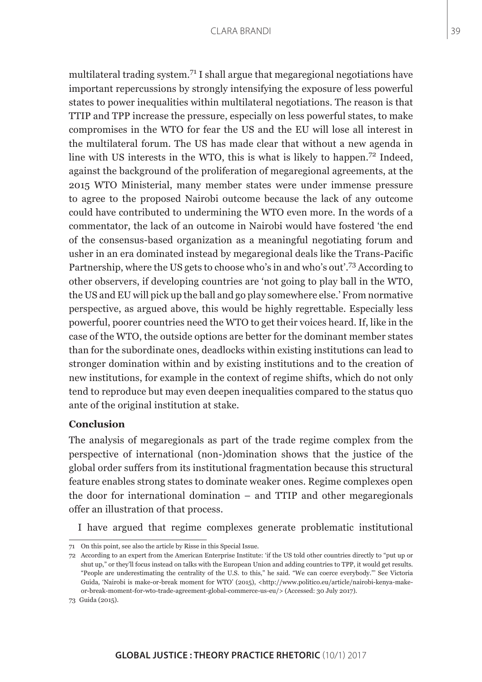multilateral trading system.71 I shall argue that megaregional negotiations have important repercussions by strongly intensifying the exposure of less powerful states to power inequalities within multilateral negotiations. The reason is that TTIP and TPP increase the pressure, especially on less powerful states, to make compromises in the WTO for fear the US and the EU will lose all interest in the multilateral forum. The US has made clear that without a new agenda in line with US interests in the WTO, this is what is likely to happen.72 Indeed, against the background of the proliferation of megaregional agreements, at the 2015 WTO Ministerial, many member states were under immense pressure to agree to the proposed Nairobi outcome because the lack of any outcome could have contributed to undermining the WTO even more. In the words of a commentator, the lack of an outcome in Nairobi would have fostered 'the end of the consensus-based organization as a meaningful negotiating forum and usher in an era dominated instead by megaregional deals like the Trans-Pacific Partnership, where the US gets to choose who's in and who's out'.73 According to other observers, if developing countries are 'not going to play ball in the WTO, the US and EU will pick up the ball and go play somewhere else.' From normative perspective, as argued above, this would be highly regrettable. Especially less powerful, poorer countries need the WTO to get their voices heard. If, like in the case of the WTO, the outside options are better for the dominant member states than for the subordinate ones, deadlocks within existing institutions can lead to stronger domination within and by existing institutions and to the creation of new institutions, for example in the context of regime shifts, which do not only tend to reproduce but may even deepen inequalities compared to the status quo ante of the original institution at stake.

# **Conclusion**

The analysis of megaregionals as part of the trade regime complex from the perspective of international (non-)domination shows that the justice of the global order suffers from its institutional fragmentation because this structural feature enables strong states to dominate weaker ones. Regime complexes open the door for international domination – and TTIP and other megaregionals offer an illustration of that process.

I have argued that regime complexes generate problematic institutional

<sup>71</sup> On this point, see also the article by Risse in this Special Issue.

<sup>72</sup> According to an expert from the American Enterprise Institute: 'if the US told other countries directly to "put up or shut up," or they'll focus instead on talks with the European Union and adding countries to TPP, it would get results. "People are underestimating the centrality of the U.S. to this," he said. "We can coerce everybody."' See Victoria Guida, 'Nairobi is make-or-break moment for WTO' (2015), <http://www.politico.eu/article/nairobi-kenya-makeor-break-moment-for-wto-trade-agreement-global-commerce-us-eu/> (Accessed: 30 July 2017).

<sup>73</sup> Guida (2015).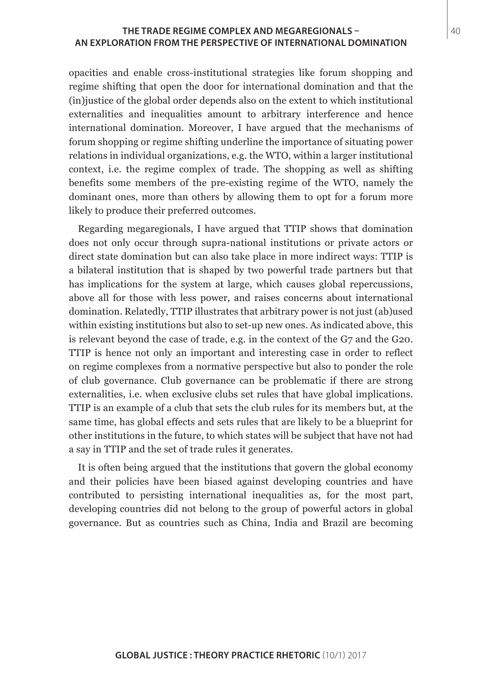### **THE TRADE REGIME COMPLEX AND MEGAREGIONALS –** 40 **AN EXPLORATION FROM THE PERSPECTIVE OF INTERNATIONAL DOMINATION**

opacities and enable cross-institutional strategies like forum shopping and regime shifting that open the door for international domination and that the (in)justice of the global order depends also on the extent to which institutional externalities and inequalities amount to arbitrary interference and hence international domination. Moreover, I have argued that the mechanisms of forum shopping or regime shifting underline the importance of situating power relations in individual organizations, e.g. the WTO, within a larger institutional context, i.e. the regime complex of trade. The shopping as well as shifting benefits some members of the pre-existing regime of the WTO, namely the dominant ones, more than others by allowing them to opt for a forum more likely to produce their preferred outcomes.

Regarding megaregionals, I have argued that TTIP shows that domination does not only occur through supra-national institutions or private actors or direct state domination but can also take place in more indirect ways: TTIP is a bilateral institution that is shaped by two powerful trade partners but that has implications for the system at large, which causes global repercussions, above all for those with less power, and raises concerns about international domination. Relatedly, TTIP illustrates that arbitrary power is not just (ab)used within existing institutions but also to set-up new ones. As indicated above, this is relevant beyond the case of trade, e.g. in the context of the G7 and the G20. TTIP is hence not only an important and interesting case in order to reflect on regime complexes from a normative perspective but also to ponder the role of club governance. Club governance can be problematic if there are strong externalities, i.e. when exclusive clubs set rules that have global implications. TTIP is an example of a club that sets the club rules for its members but, at the same time, has global effects and sets rules that are likely to be a blueprint for other institutions in the future, to which states will be subject that have not had a say in TTIP and the set of trade rules it generates.

It is often being argued that the institutions that govern the global economy and their policies have been biased against developing countries and have contributed to persisting international inequalities as, for the most part, developing countries did not belong to the group of powerful actors in global governance. But as countries such as China, India and Brazil are becoming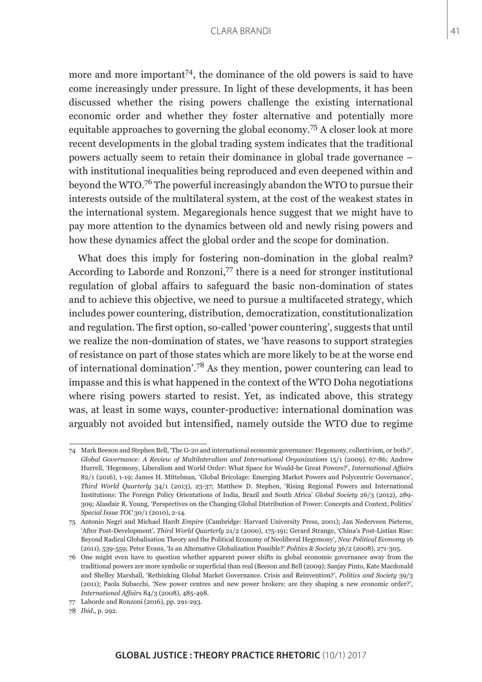more and more important<sup>74</sup>, the dominance of the old powers is said to have come increasingly under pressure. In light of these developments, it has been discussed whether the rising powers challenge the existing international economic order and whether they foster alternative and potentially more equitable approaches to governing the global economy.75 A closer look at more recent developments in the global trading system indicates that the traditional powers actually seem to retain their dominance in global trade governance – with institutional inequalities being reproduced and even deepened within and beyond the WTO.76 The powerful increasingly abandon the WTO to pursue their interests outside of the multilateral system, at the cost of the weakest states in the international system. Megaregionals hence suggest that we might have to pay more attention to the dynamics between old and newly rising powers and how these dynamics affect the global order and the scope for domination.

What does this imply for fostering non-domination in the global realm? According to Laborde and Ronzoni,<sup>77</sup> there is a need for stronger institutional regulation of global affairs to safeguard the basic non-domination of states and to achieve this objective, we need to pursue a multifaceted strategy, which includes power countering, distribution, democratization, constitutionalization and regulation. The first option, so-called 'power countering', suggests that until we realize the non-domination of states, we 'have reasons to support strategies of resistance on part of those states which are more likely to be at the worse end of international domination'.<sup>78</sup> As they mention, power countering can lead to impasse and this is what happened in the context of the WTO Doha negotiations where rising powers started to resist. Yet, as indicated above, this strategy was, at least in some ways, counter-productive: international domination was arguably not avoided but intensified, namely outside the WTO due to regime

<sup>74</sup> Mark Beeson and Stephen Bell, 'The G-20 and international economic governance: Hegemony, collectivism, or both?', *Global Governance: A Review of Multilateralism and International Organizations* 15/1 (2009), 67-86; Andrew Hurrell, 'Hegemony, Liberalism and World Order: What Space for Would-be Great Powers?', *International Affairs* 82/1 (2016), 1-19; James H. Mittelman, 'Global Bricolage: Emerging Market Powers and Polycentric Governance', *Third World Quarterly* 34/1 (2013), 23-37; Matthew D. Stephen, 'Rising Regional Powers and International Institutions: The Foreign Policy Orientations of India, Brazil and South Africa' *Global Society* 26/3 (2012), 289- 309; Alasdair R. Young, 'Perspectives on the Changing Global Distribution of Power: Concepts and Context, Politics' *Special Issue TOC* 30/1 (2010), 2-14.

<sup>75</sup> Antonio Negri and Michael Hardt *Empire* (Cambridge: Harvard University Press, 2001); Jan Nederveen Pieterse, 'After Post-Development', *Third World Quarterly* 21/2 (2000), 175-191; Gerard Strange, 'China's Post-Listian Rise: Beyond Radical Globalisation Theory and the Political Economy of Neoliberal Hegemony', *New Political Economy* 16 (2011), 539-559; Peter Evans, 'Is an Alternative Globalization Possible?' *Politics & Society* 36/2 (2008), 271-305.

<sup>76</sup> One might even have to question whether apparent power shifts in global economic governance away from the traditional powers are more symbolic or superficial than real (Beeson and Bell (2009); Sanjay Pinto, Kate Macdonald and Shelley Marshall, 'Rethinking Global Market Governance. Crisis and Reinvention?', *Politics and Society* 39/3 (2011); Paola Subacchi, 'New power centres and new power brokers: are they shaping a new economic order?', *International Affairs* 84/3 (2008), 485-498.

<sup>77</sup> Laborde and Ronzoni (2016), pp. 291-293.

<sup>78</sup> *Ibid*., p. 292.